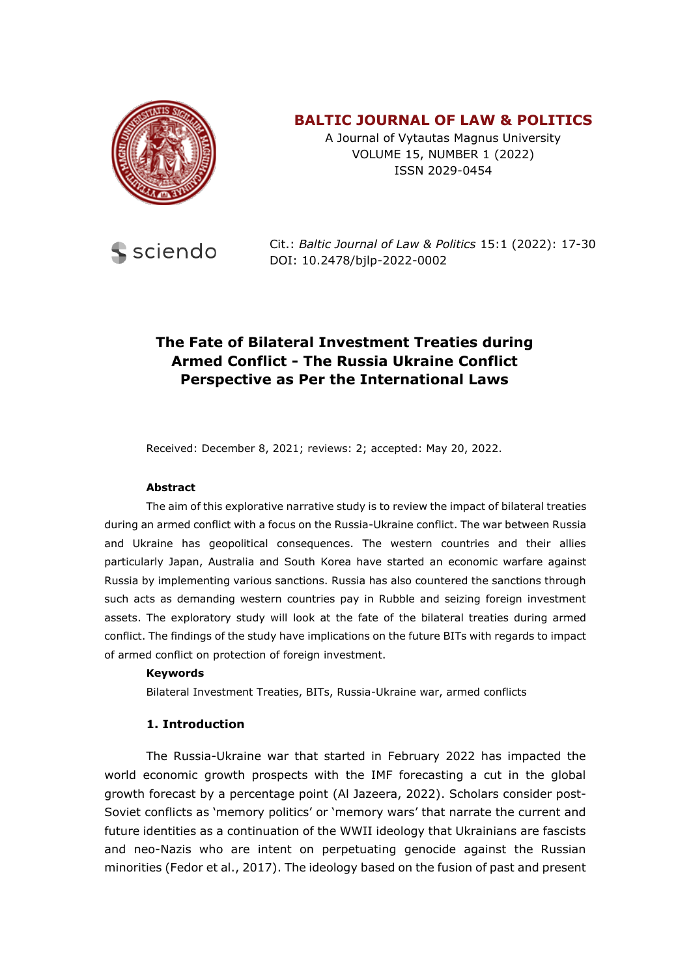

# **BALTIC JOURNAL OF LAW & POLITICS**

A Journal of Vytautas Magnus University VOLUME 15, NUMBER 1 (2022) ISSN 2029-0454



Cit.: *Baltic Journal of Law & Politics* 15:1 (2022): 17-30 DOI: 10.2478/bjlp-2022-0002

# **The Fate of Bilateral Investment Treaties during Armed Conflict - The Russia Ukraine Conflict Perspective as Per the International Laws**

Received: December 8, 2021; reviews: 2; accepted: May 20, 2022.

#### **Abstract**

The aim of this explorative narrative study is to review the impact of bilateral treaties during an armed conflict with a focus on the Russia-Ukraine conflict. The war between Russia and Ukraine has geopolitical consequences. The western countries and their allies particularly Japan, Australia and South Korea have started an economic warfare against Russia by implementing various sanctions. Russia has also countered the sanctions through such acts as demanding western countries pay in Rubble and seizing foreign investment assets. The exploratory study will look at the fate of the bilateral treaties during armed conflict. The findings of the study have implications on the future BITs with regards to impact of armed conflict on protection of foreign investment.

#### **Keywords**

Bilateral Investment Treaties, BITs, Russia-Ukraine war, armed conflicts

#### **1. Introduction**

The Russia-Ukraine war that started in February 2022 has impacted the world economic growth prospects with the IMF forecasting a cut in the global growth forecast by a percentage point (Al Jazeera, 2022). Scholars consider post-Soviet conflicts as 'memory politics' or 'memory wars' that narrate the current and future identities as a continuation of the WWII ideology that Ukrainians are fascists and neo-Nazis who are intent on perpetuating genocide against the Russian minorities (Fedor et al., 2017). The ideology based on the fusion of past and present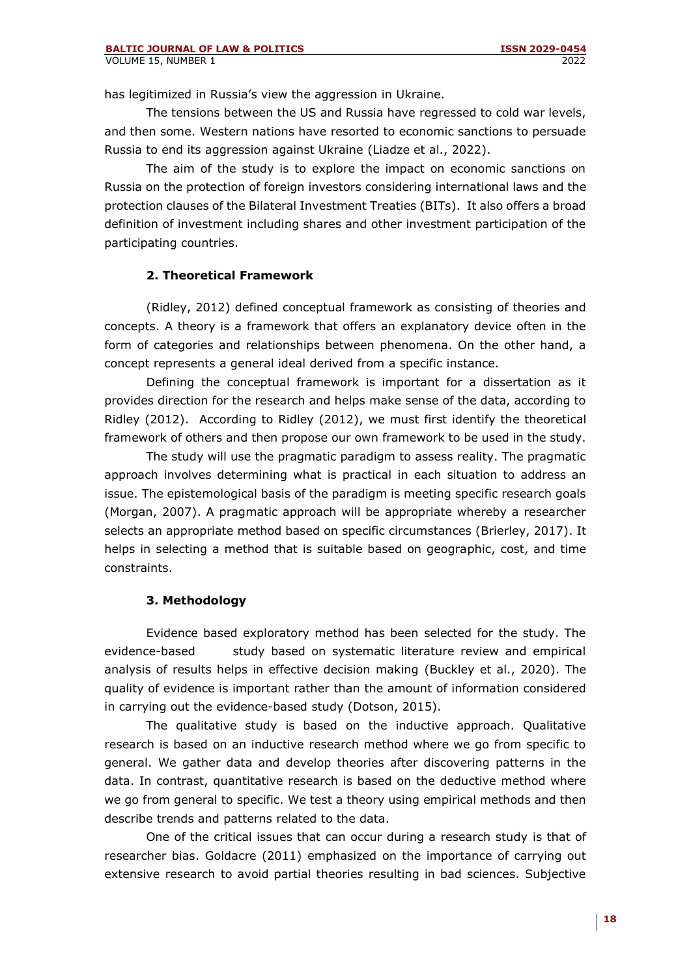has legitimized in Russia's view the aggression in Ukraine.

The tensions between the US and Russia have regressed to cold war levels, and then some. Western nations have resorted to economic sanctions to persuade Russia to end its aggression against Ukraine (Liadze et al., 2022).

The aim of the study is to explore the impact on economic sanctions on Russia on the protection of foreign investors considering international laws and the protection clauses of the Bilateral Investment Treaties (BITs). It also offers a broad definition of investment including shares and other investment participation of the participating countries.

### **2. Theoretical Framework**

(Ridley, 2012) defined conceptual framework as consisting of theories and concepts. A theory is a framework that offers an explanatory device often in the form of categories and relationships between phenomena. On the other hand, a concept represents a general ideal derived from a specific instance.

Defining the conceptual framework is important for a dissertation as it provides direction for the research and helps make sense of the data, according to Ridley (2012). According to Ridley (2012), we must first identify the theoretical framework of others and then propose our own framework to be used in the study.

The study will use the pragmatic paradigm to assess reality. The pragmatic approach involves determining what is practical in each situation to address an issue. The epistemological basis of the paradigm is meeting specific research goals (Morgan, 2007). A pragmatic approach will be appropriate whereby a researcher selects an appropriate method based on specific circumstances (Brierley, 2017). It helps in selecting a method that is suitable based on geographic, cost, and time constraints.

### **3. Methodology**

Evidence based exploratory method has been selected for the study. The evidence-based study based on systematic literature review and empirical analysis of results helps in effective decision making (Buckley et al., 2020). The quality of evidence is important rather than the amount of information considered in carrying out the evidence-based study (Dotson, 2015).

The qualitative study is based on the inductive approach. Qualitative research is based on an inductive research method where we go from specific to general. We gather data and develop theories after discovering patterns in the data. In contrast, quantitative research is based on the deductive method where we go from general to specific. We test a theory using empirical methods and then describe trends and patterns related to the data.

One of the critical issues that can occur during a research study is that of researcher bias. Goldacre (2011) emphasized on the importance of carrying out extensive research to avoid partial theories resulting in bad sciences. Subjective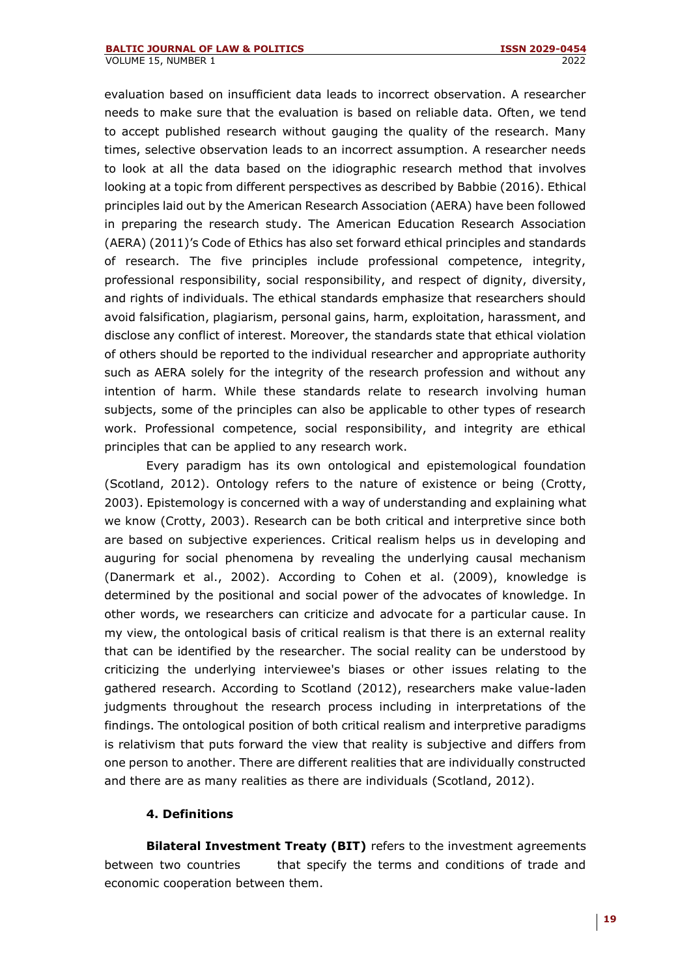evaluation based on insufficient data leads to incorrect observation. A researcher needs to make sure that the evaluation is based on reliable data. Often, we tend to accept published research without gauging the quality of the research. Many times, selective observation leads to an incorrect assumption. A researcher needs to look at all the data based on the idiographic research method that involves looking at a topic from different perspectives as described by Babbie (2016). Ethical principles laid out by the American Research Association (AERA) have been followed in preparing the research study. The American Education Research Association (AERA) (2011)'s Code of Ethics has also set forward ethical principles and standards of research. The five principles include professional competence, integrity, professional responsibility, social responsibility, and respect of dignity, diversity, and rights of individuals. The ethical standards emphasize that researchers should avoid falsification, plagiarism, personal gains, harm, exploitation, harassment, and disclose any conflict of interest. Moreover, the standards state that ethical violation of others should be reported to the individual researcher and appropriate authority such as AERA solely for the integrity of the research profession and without any intention of harm. While these standards relate to research involving human subjects, some of the principles can also be applicable to other types of research work. Professional competence, social responsibility, and integrity are ethical principles that can be applied to any research work.

Every paradigm has its own ontological and epistemological foundation (Scotland, 2012). Ontology refers to the nature of existence or being (Crotty, 2003). Epistemology is concerned with a way of understanding and explaining what we know (Crotty, 2003). Research can be both critical and interpretive since both are based on subjective experiences. Critical realism helps us in developing and auguring for social phenomena by revealing the underlying causal mechanism (Danermark et al., 2002). According to Cohen et al. (2009), knowledge is determined by the positional and social power of the advocates of knowledge. In other words, we researchers can criticize and advocate for a particular cause. In my view, the ontological basis of critical realism is that there is an external reality that can be identified by the researcher. The social reality can be understood by criticizing the underlying interviewee's biases or other issues relating to the gathered research. According to Scotland (2012), researchers make value-laden judgments throughout the research process including in interpretations of the findings. The ontological position of both critical realism and interpretive paradigms is relativism that puts forward the view that reality is subjective and differs from one person to another. There are different realities that are individually constructed and there are as many realities as there are individuals (Scotland, 2012).

### **4. Definitions**

**Bilateral Investment Treaty (BIT)** refers to the investment agreements between two countries that specify the terms and conditions of trade and economic cooperation between them.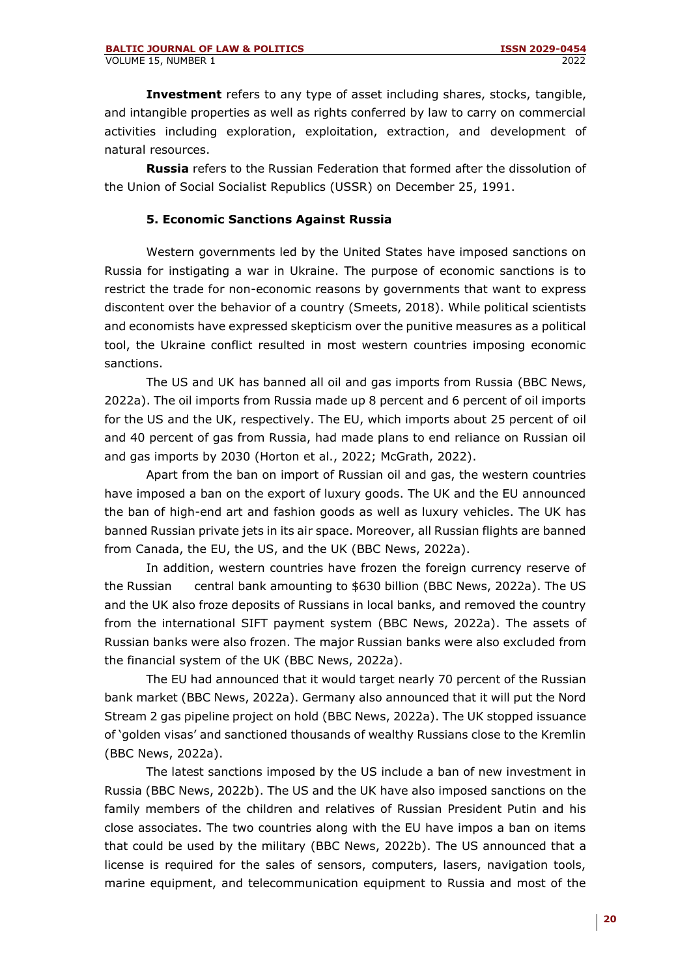**Investment** refers to any type of asset including shares, stocks, tangible, and intangible properties as well as rights conferred by law to carry on commercial activities including exploration, exploitation, extraction, and development of natural resources.

**Russia** refers to the Russian Federation that formed after the dissolution of the Union of Social Socialist Republics (USSR) on December 25, 1991.

### **5. Economic Sanctions Against Russia**

Western governments led by the United States have imposed sanctions on Russia for instigating a war in Ukraine. The purpose of economic sanctions is to restrict the trade for non-economic reasons by governments that want to express discontent over the behavior of a country (Smeets, 2018). While political scientists and economists have expressed skepticism over the punitive measures as a political tool, the Ukraine conflict resulted in most western countries imposing economic sanctions.

The US and UK has banned all oil and gas imports from Russia (BBC News, 2022a). The oil imports from Russia made up 8 percent and 6 percent of oil imports for the US and the UK, respectively. The EU, which imports about 25 percent of oil and 40 percent of gas from Russia, had made plans to end reliance on Russian oil and gas imports by 2030 (Horton et al., 2022; McGrath, 2022).

Apart from the ban on import of Russian oil and gas, the western countries have imposed a ban on the export of luxury goods. The UK and the EU announced the ban of high-end art and fashion goods as well as luxury vehicles. The UK has banned Russian private jets in its air space. Moreover, all Russian flights are banned from Canada, the EU, the US, and the UK (BBC News, 2022a).

In addition, western countries have frozen the foreign currency reserve of the Russian central bank amounting to \$630 billion (BBC News, 2022a). The US and the UK also froze deposits of Russians in local banks, and removed the country from the international SIFT payment system (BBC News, 2022a). The assets of Russian banks were also frozen. The major Russian banks were also excluded from the financial system of the UK (BBC News, 2022a).

The EU had announced that it would target nearly 70 percent of the Russian bank market (BBC News, 2022a). Germany also announced that it will put the Nord Stream 2 gas pipeline project on hold (BBC News, 2022a). The UK stopped issuance of 'golden visas' and sanctioned thousands of wealthy Russians close to the Kremlin (BBC News, 2022a).

The latest sanctions imposed by the US include a ban of new investment in Russia (BBC News, 2022b). The US and the UK have also imposed sanctions on the family members of the children and relatives of Russian President Putin and his close associates. The two countries along with the EU have impos a ban on items that could be used by the military (BBC News, 2022b). The US announced that a license is required for the sales of sensors, computers, lasers, navigation tools, marine equipment, and telecommunication equipment to Russia and most of the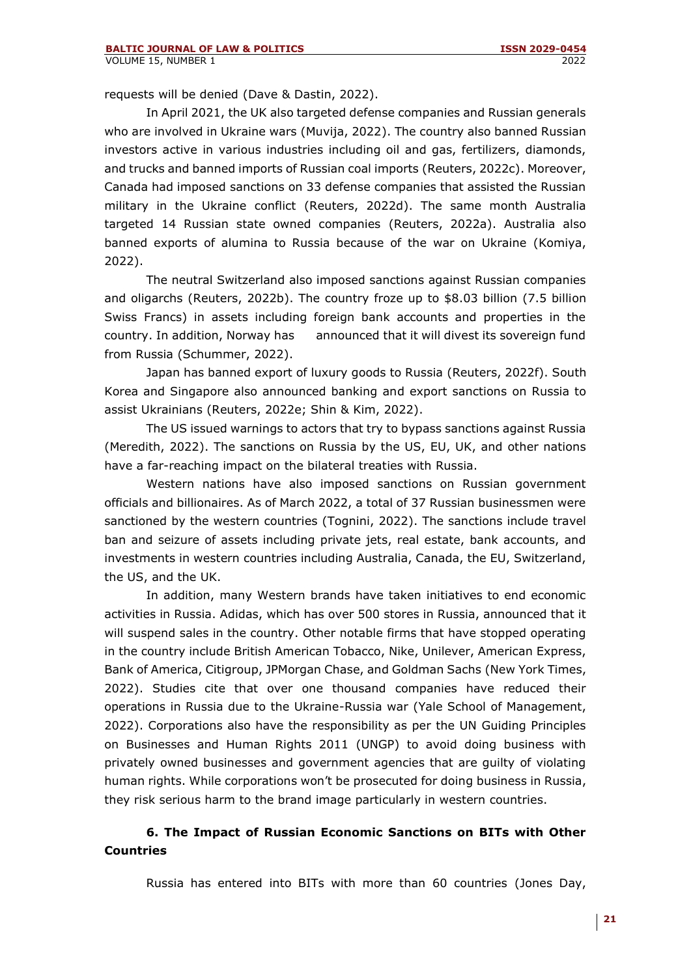requests will be denied (Dave & Dastin, 2022).

In April 2021, the UK also targeted defense companies and Russian generals who are involved in Ukraine wars (Muvija, 2022). The country also banned Russian investors active in various industries including oil and gas, fertilizers, diamonds, and trucks and banned imports of Russian coal imports (Reuters, 2022c). Moreover, Canada had imposed sanctions on 33 defense companies that assisted the Russian military in the Ukraine conflict (Reuters, 2022d). The same month Australia targeted 14 Russian state owned companies (Reuters, 2022a). Australia also banned exports of alumina to Russia because of the war on Ukraine (Komiya, 2022).

The neutral Switzerland also imposed sanctions against Russian companies and oligarchs (Reuters, 2022b). The country froze up to \$8.03 billion (7.5 billion Swiss Francs) in assets including foreign bank accounts and properties in the country. In addition, Norway has announced that it will divest its sovereign fund from Russia (Schummer, 2022).

Japan has banned export of luxury goods to Russia (Reuters, 2022f). South Korea and Singapore also announced banking and export sanctions on Russia to assist Ukrainians (Reuters, 2022e; Shin & Kim, 2022).

The US issued warnings to actors that try to bypass sanctions against Russia (Meredith, 2022). The sanctions on Russia by the US, EU, UK, and other nations have a far-reaching impact on the bilateral treaties with Russia.

Western nations have also imposed sanctions on Russian government officials and billionaires. As of March 2022, a total of 37 Russian businessmen were sanctioned by the western countries (Tognini, 2022). The sanctions include travel ban and seizure of assets including private jets, real estate, bank accounts, and investments in western countries including Australia, Canada, the EU, Switzerland, the US, and the UK.

In addition, many Western brands have taken initiatives to end economic activities in Russia. Adidas, which has over 500 stores in Russia, announced that it will suspend sales in the country. Other notable firms that have stopped operating in the country include British American Tobacco, Nike, Unilever, American Express, Bank of America, Citigroup, JPMorgan Chase, and Goldman Sachs (New York Times, 2022). Studies cite that over one thousand companies have reduced their operations in Russia due to the Ukraine-Russia war (Yale School of Management, 2022). Corporations also have the responsibility as per the UN Guiding Principles on Businesses and Human Rights 2011 (UNGP) to avoid doing business with privately owned businesses and government agencies that are guilty of violating human rights. While corporations won't be prosecuted for doing business in Russia, they risk serious harm to the brand image particularly in western countries.

## **6. The Impact of Russian Economic Sanctions on BITs with Other Countries**

Russia has entered into BITs with more than 60 countries (Jones Day,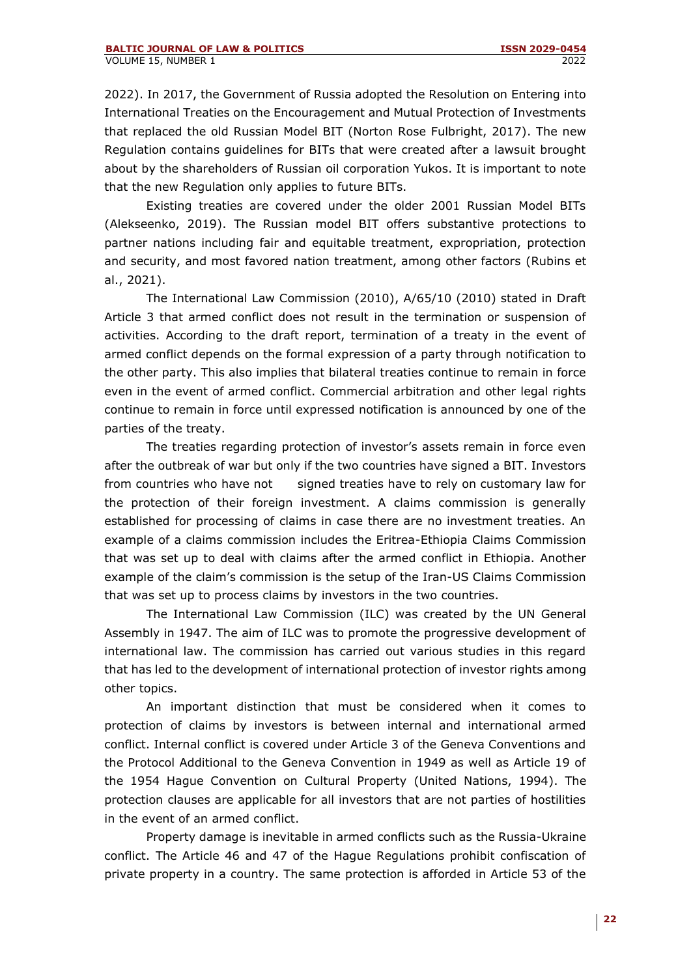2022). In 2017, the Government of Russia adopted the Resolution on Entering into International Treaties on the Encouragement and Mutual Protection of Investments that replaced the old Russian Model BIT (Norton Rose Fulbright, 2017). The new Regulation contains guidelines for BITs that were created after a lawsuit brought about by the shareholders of Russian oil corporation Yukos. It is important to note that the new Regulation only applies to future BITs.

Existing treaties are covered under the older 2001 Russian Model BITs (Alekseenko, 2019). The Russian model BIT offers substantive protections to partner nations including fair and equitable treatment, expropriation, protection and security, and most favored nation treatment, among other factors (Rubins et al., 2021).

The International Law Commission (2010), A/65/10 (2010) stated in Draft Article 3 that armed conflict does not result in the termination or suspension of activities. According to the draft report, termination of a treaty in the event of armed conflict depends on the formal expression of a party through notification to the other party. This also implies that bilateral treaties continue to remain in force even in the event of armed conflict. Commercial arbitration and other legal rights continue to remain in force until expressed notification is announced by one of the parties of the treaty.

The treaties regarding protection of investor's assets remain in force even after the outbreak of war but only if the two countries have signed a BIT. Investors from countries who have not signed treaties have to rely on customary law for the protection of their foreign investment. A claims commission is generally established for processing of claims in case there are no investment treaties. An example of a claims commission includes the Eritrea-Ethiopia Claims Commission that was set up to deal with claims after the armed conflict in Ethiopia. Another example of the claim's commission is the setup of the Iran-US Claims Commission that was set up to process claims by investors in the two countries.

The International Law Commission (ILC) was created by the UN General Assembly in 1947. The aim of ILC was to promote the progressive development of international law. The commission has carried out various studies in this regard that has led to the development of international protection of investor rights among other topics.

An important distinction that must be considered when it comes to protection of claims by investors is between internal and international armed conflict. Internal conflict is covered under Article 3 of the Geneva Conventions and the Protocol Additional to the Geneva Convention in 1949 as well as Article 19 of the 1954 Hague Convention on Cultural Property (United Nations, 1994). The protection clauses are applicable for all investors that are not parties of hostilities in the event of an armed conflict.

Property damage is inevitable in armed conflicts such as the Russia-Ukraine conflict. The Article 46 and 47 of the Hague Regulations prohibit confiscation of private property in a country. The same protection is afforded in Article 53 of the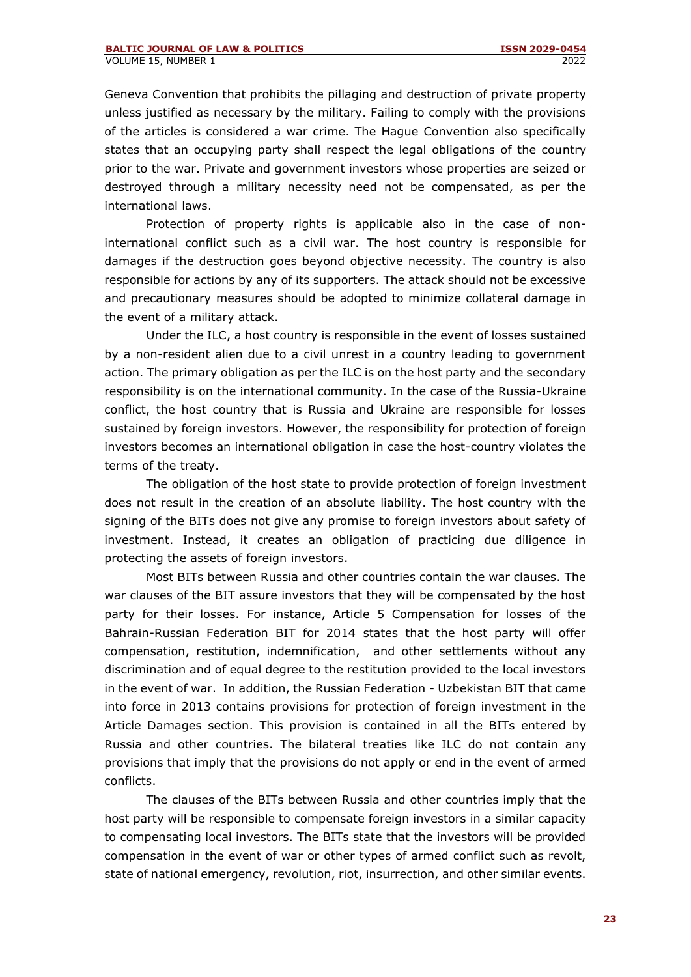Geneva Convention that prohibits the pillaging and destruction of private property unless justified as necessary by the military. Failing to comply with the provisions of the articles is considered a war crime. The Hague Convention also specifically states that an occupying party shall respect the legal obligations of the country prior to the war. Private and government investors whose properties are seized or destroyed through a military necessity need not be compensated, as per the international laws.

Protection of property rights is applicable also in the case of noninternational conflict such as a civil war. The host country is responsible for damages if the destruction goes beyond objective necessity. The country is also responsible for actions by any of its supporters. The attack should not be excessive and precautionary measures should be adopted to minimize collateral damage in the event of a military attack.

Under the ILC, a host country is responsible in the event of losses sustained by a non-resident alien due to a civil unrest in a country leading to government action. The primary obligation as per the ILC is on the host party and the secondary responsibility is on the international community. In the case of the Russia-Ukraine conflict, the host country that is Russia and Ukraine are responsible for losses sustained by foreign investors. However, the responsibility for protection of foreign investors becomes an international obligation in case the host-country violates the terms of the treaty.

The obligation of the host state to provide protection of foreign investment does not result in the creation of an absolute liability. The host country with the signing of the BITs does not give any promise to foreign investors about safety of investment. Instead, it creates an obligation of practicing due diligence in protecting the assets of foreign investors.

Most BITs between Russia and other countries contain the war clauses. The war clauses of the BIT assure investors that they will be compensated by the host party for their losses. For instance, Article 5 Compensation for losses of the Bahrain-Russian Federation BIT for 2014 states that the host party will offer compensation, restitution, indemnification, and other settlements without any discrimination and of equal degree to the restitution provided to the local investors in the event of war. In addition, the Russian Federation - Uzbekistan BIT that came into force in 2013 contains provisions for protection of foreign investment in the Article Damages section. This provision is contained in all the BITs entered by Russia and other countries. The bilateral treaties like ILC do not contain any provisions that imply that the provisions do not apply or end in the event of armed conflicts.

The clauses of the BITs between Russia and other countries imply that the host party will be responsible to compensate foreign investors in a similar capacity to compensating local investors. The BITs state that the investors will be provided compensation in the event of war or other types of armed conflict such as revolt, state of national emergency, revolution, riot, insurrection, and other similar events.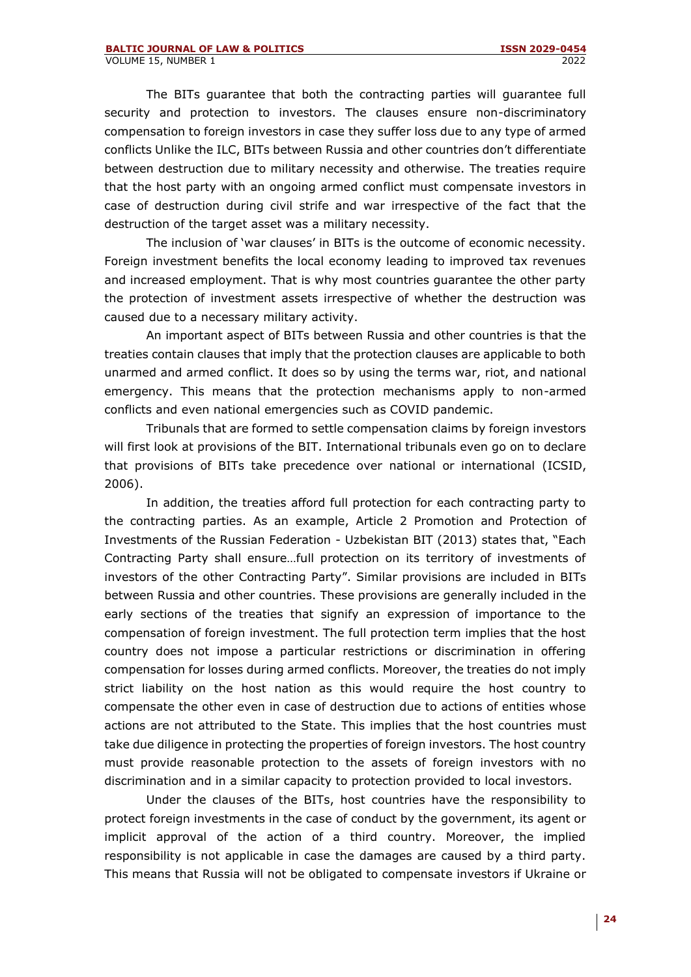The BITs guarantee that both the contracting parties will guarantee full security and protection to investors. The clauses ensure non-discriminatory compensation to foreign investors in case they suffer loss due to any type of armed conflicts Unlike the ILC, BITs between Russia and other countries don't differentiate between destruction due to military necessity and otherwise. The treaties require that the host party with an ongoing armed conflict must compensate investors in case of destruction during civil strife and war irrespective of the fact that the destruction of the target asset was a military necessity.

The inclusion of 'war clauses' in BITs is the outcome of economic necessity. Foreign investment benefits the local economy leading to improved tax revenues and increased employment. That is why most countries guarantee the other party the protection of investment assets irrespective of whether the destruction was caused due to a necessary military activity.

An important aspect of BITs between Russia and other countries is that the treaties contain clauses that imply that the protection clauses are applicable to both unarmed and armed conflict. It does so by using the terms war, riot, and national emergency. This means that the protection mechanisms apply to non-armed conflicts and even national emergencies such as COVID pandemic.

Tribunals that are formed to settle compensation claims by foreign investors will first look at provisions of the BIT. International tribunals even go on to declare that provisions of BITs take precedence over national or international (ICSID, 2006).

In addition, the treaties afford full protection for each contracting party to the contracting parties. As an example, Article 2 Promotion and Protection of Investments of the Russian Federation - Uzbekistan BIT (2013) states that, "Each Contracting Party shall ensure…full protection on its territory of investments of investors of the other Contracting Party". Similar provisions are included in BITs between Russia and other countries. These provisions are generally included in the early sections of the treaties that signify an expression of importance to the compensation of foreign investment. The full protection term implies that the host country does not impose a particular restrictions or discrimination in offering compensation for losses during armed conflicts. Moreover, the treaties do not imply strict liability on the host nation as this would require the host country to compensate the other even in case of destruction due to actions of entities whose actions are not attributed to the State. This implies that the host countries must take due diligence in protecting the properties of foreign investors. The host country must provide reasonable protection to the assets of foreign investors with no discrimination and in a similar capacity to protection provided to local investors.

Under the clauses of the BITs, host countries have the responsibility to protect foreign investments in the case of conduct by the government, its agent or implicit approval of the action of a third country. Moreover, the implied responsibility is not applicable in case the damages are caused by a third party. This means that Russia will not be obligated to compensate investors if Ukraine or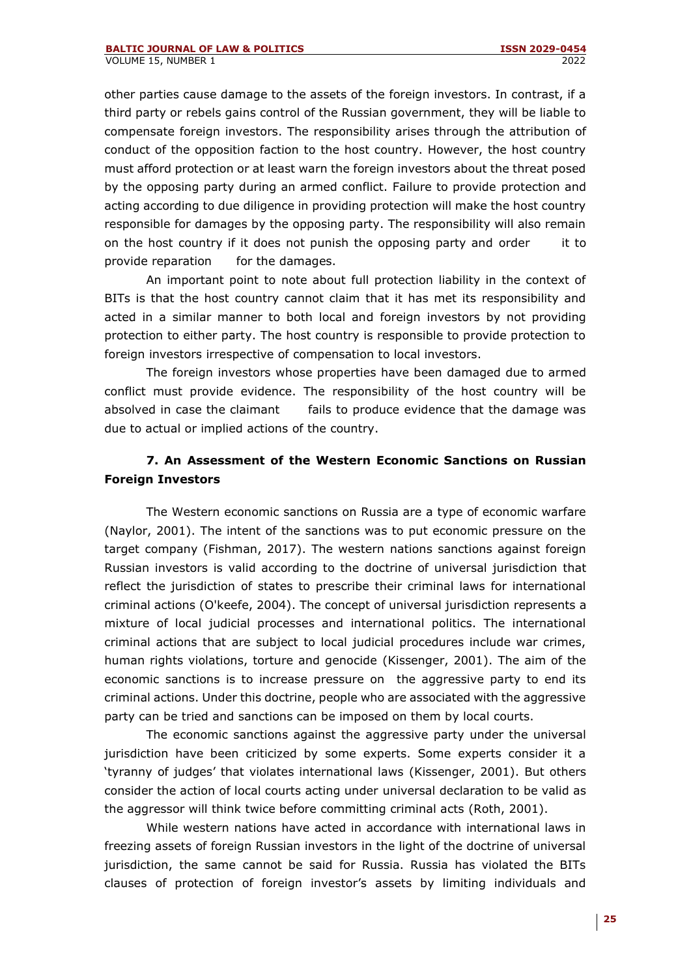other parties cause damage to the assets of the foreign investors. In contrast, if a third party or rebels gains control of the Russian government, they will be liable to compensate foreign investors. The responsibility arises through the attribution of conduct of the opposition faction to the host country. However, the host country must afford protection or at least warn the foreign investors about the threat posed by the opposing party during an armed conflict. Failure to provide protection and acting according to due diligence in providing protection will make the host country responsible for damages by the opposing party. The responsibility will also remain on the host country if it does not punish the opposing party and order it to provide reparation for the damages.

An important point to note about full protection liability in the context of BITs is that the host country cannot claim that it has met its responsibility and acted in a similar manner to both local and foreign investors by not providing protection to either party. The host country is responsible to provide protection to foreign investors irrespective of compensation to local investors.

The foreign investors whose properties have been damaged due to armed conflict must provide evidence. The responsibility of the host country will be absolved in case the claimant fails to produce evidence that the damage was due to actual or implied actions of the country.

## **7. An Assessment of the Western Economic Sanctions on Russian Foreign Investors**

The Western economic sanctions on Russia are a type of economic warfare (Naylor, 2001). The intent of the sanctions was to put economic pressure on the target company (Fishman, 2017). The western nations sanctions against foreign Russian investors is valid according to the doctrine of universal jurisdiction that reflect the jurisdiction of states to prescribe their criminal laws for international criminal actions (O'keefe, 2004). The concept of universal jurisdiction represents a mixture of local judicial processes and international politics. The international criminal actions that are subject to local judicial procedures include war crimes, human rights violations, torture and genocide (Kissenger, 2001). The aim of the economic sanctions is to increase pressure on the aggressive party to end its criminal actions. Under this doctrine, people who are associated with the aggressive party can be tried and sanctions can be imposed on them by local courts.

The economic sanctions against the aggressive party under the universal jurisdiction have been criticized by some experts. Some experts consider it a 'tyranny of judges' that violates international laws (Kissenger, 2001). But others consider the action of local courts acting under universal declaration to be valid as the aggressor will think twice before committing criminal acts (Roth, 2001).

While western nations have acted in accordance with international laws in freezing assets of foreign Russian investors in the light of the doctrine of universal jurisdiction, the same cannot be said for Russia. Russia has violated the BITs clauses of protection of foreign investor's assets by limiting individuals and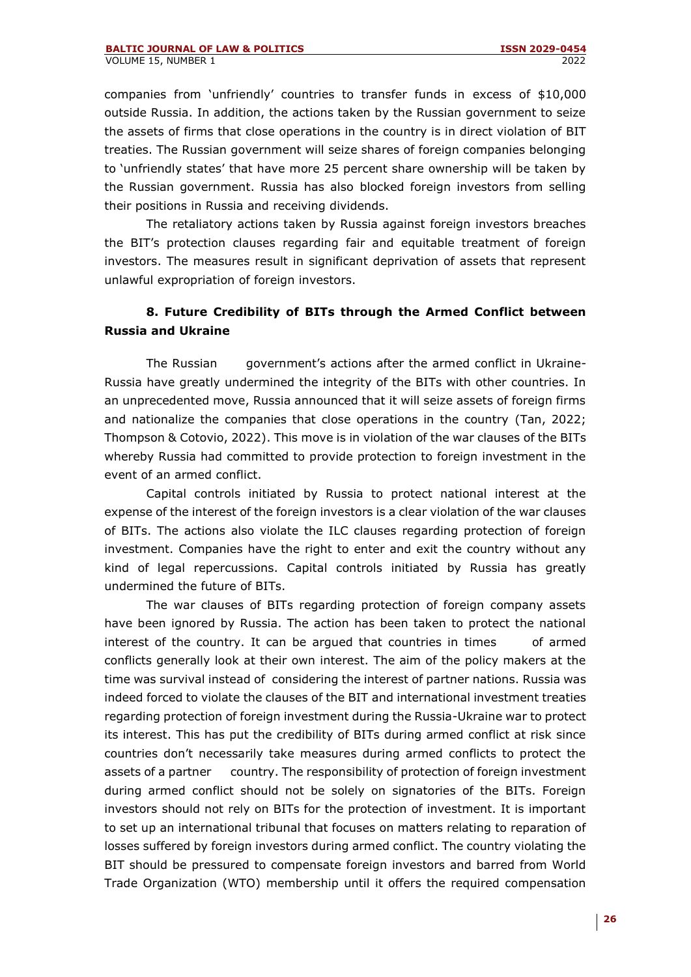companies from 'unfriendly' countries to transfer funds in excess of \$10,000 outside Russia. In addition, the actions taken by the Russian government to seize the assets of firms that close operations in the country is in direct violation of BIT treaties. The Russian government will seize shares of foreign companies belonging to 'unfriendly states' that have more 25 percent share ownership will be taken by the Russian government. Russia has also blocked foreign investors from selling their positions in Russia and receiving dividends.

The retaliatory actions taken by Russia against foreign investors breaches the BIT's protection clauses regarding fair and equitable treatment of foreign investors. The measures result in significant deprivation of assets that represent unlawful expropriation of foreign investors.

## **8. Future Credibility of BITs through the Armed Conflict between Russia and Ukraine**

The Russian government's actions after the armed conflict in Ukraine-Russia have greatly undermined the integrity of the BITs with other countries. In an unprecedented move, Russia announced that it will seize assets of foreign firms and nationalize the companies that close operations in the country (Tan, 2022; Thompson & Cotovio, 2022). This move is in violation of the war clauses of the BITs whereby Russia had committed to provide protection to foreign investment in the event of an armed conflict.

Capital controls initiated by Russia to protect national interest at the expense of the interest of the foreign investors is a clear violation of the war clauses of BITs. The actions also violate the ILC clauses regarding protection of foreign investment. Companies have the right to enter and exit the country without any kind of legal repercussions. Capital controls initiated by Russia has greatly undermined the future of BITs.

The war clauses of BITs regarding protection of foreign company assets have been ignored by Russia. The action has been taken to protect the national interest of the country. It can be argued that countries in times of armed conflicts generally look at their own interest. The aim of the policy makers at the time was survival instead of considering the interest of partner nations. Russia was indeed forced to violate the clauses of the BIT and international investment treaties regarding protection of foreign investment during the Russia-Ukraine war to protect its interest. This has put the credibility of BITs during armed conflict at risk since countries don't necessarily take measures during armed conflicts to protect the assets of a partner country. The responsibility of protection of foreign investment during armed conflict should not be solely on signatories of the BITs. Foreign investors should not rely on BITs for the protection of investment. It is important to set up an international tribunal that focuses on matters relating to reparation of losses suffered by foreign investors during armed conflict. The country violating the BIT should be pressured to compensate foreign investors and barred from World Trade Organization (WTO) membership until it offers the required compensation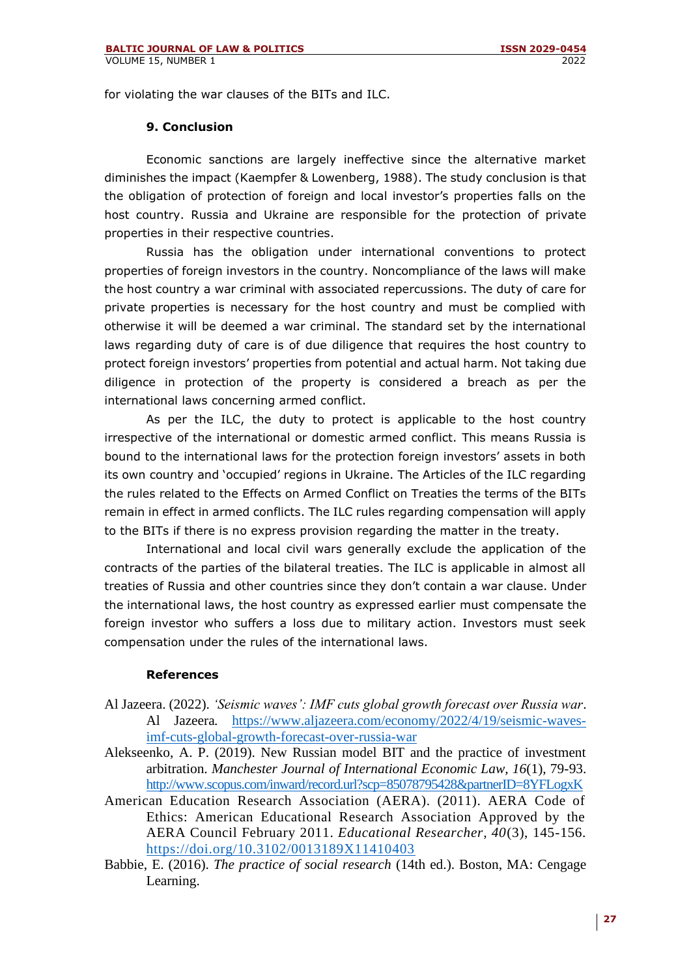for violating the war clauses of the BITs and ILC.

### **9. Conclusion**

Economic sanctions are largely ineffective since the alternative market diminishes the impact (Kaempfer & Lowenberg, 1988). The study conclusion is that the obligation of protection of foreign and local investor's properties falls on the host country. Russia and Ukraine are responsible for the protection of private properties in their respective countries.

Russia has the obligation under international conventions to protect properties of foreign investors in the country. Noncompliance of the laws will make the host country a war criminal with associated repercussions. The duty of care for private properties is necessary for the host country and must be complied with otherwise it will be deemed a war criminal. The standard set by the international laws regarding duty of care is of due diligence that requires the host country to protect foreign investors' properties from potential and actual harm. Not taking due diligence in protection of the property is considered a breach as per the international laws concerning armed conflict.

As per the ILC, the duty to protect is applicable to the host country irrespective of the international or domestic armed conflict. This means Russia is bound to the international laws for the protection foreign investors' assets in both its own country and 'occupied' regions in Ukraine. The Articles of the ILC regarding the rules related to the Effects on Armed Conflict on Treaties the terms of the BITs remain in effect in armed conflicts. The ILC rules regarding compensation will apply to the BITs if there is no express provision regarding the matter in the treaty.

International and local civil wars generally exclude the application of the contracts of the parties of the bilateral treaties. The ILC is applicable in almost all treaties of Russia and other countries since they don't contain a war clause. Under the international laws, the host country as expressed earlier must compensate the foreign investor who suffers a loss due to military action. Investors must seek compensation under the rules of the international laws.

#### **References**

- Al Jazeera. (2022). *'Seismic waves': IMF cuts global growth forecast over Russia war*. Al Jazeera*.* [https://www.aljazeera.com/economy/2022/4/19/seismic-waves](https://www.aljazeera.com/economy/2022/4/19/seismic-waves-imf-cuts-global-growth-forecast-over-russia-war)[imf-cuts-global-growth-forecast-over-russia-war](https://www.aljazeera.com/economy/2022/4/19/seismic-waves-imf-cuts-global-growth-forecast-over-russia-war)
- Alekseenko, A. P. (2019). New Russian model BIT and the practice of investment arbitration. *Manchester Journal of International Economic Law, 16*(1), 79-93. <http://www.scopus.com/inward/record.url?scp=85078795428&partnerID=8YFLogxK>
- American Education Research Association (AERA). (2011). AERA Code of Ethics: American Educational Research Association Approved by the AERA Council February 2011. *Educational Researcher, 40*(3), 145-156. <https://doi.org/10.3102/0013189X11410403>
- Babbie, E. (2016). *The practice of social research* (14th ed.). Boston, MA: Cengage Learning.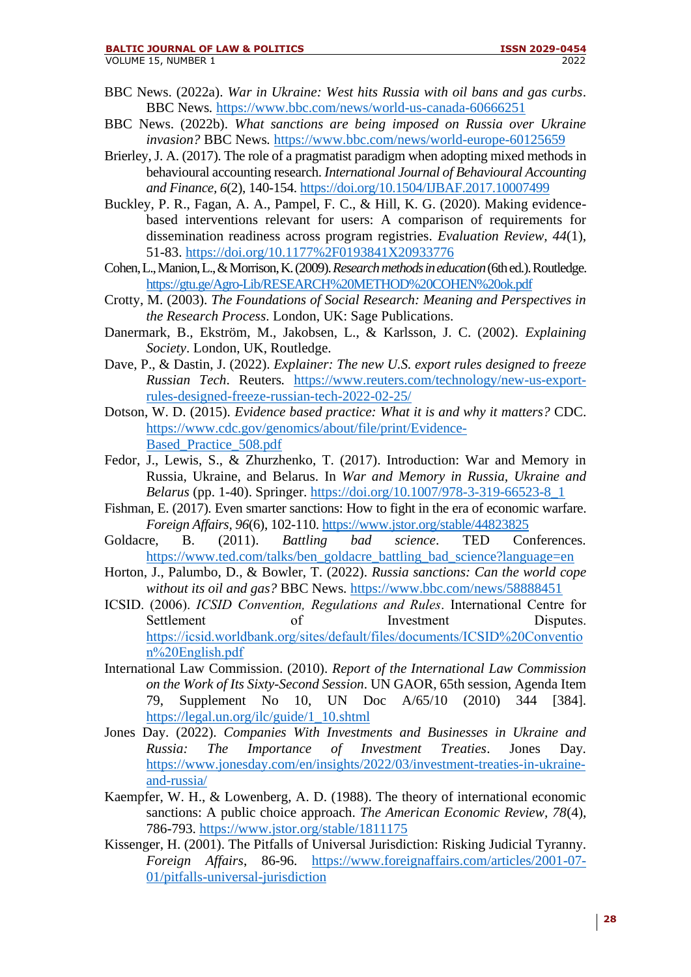- BBC News. (2022a). *War in Ukraine: West hits Russia with oil bans and gas curbs*. BBC News*.* <https://www.bbc.com/news/world-us-canada-60666251>
- BBC News. (2022b). *What sanctions are being imposed on Russia over Ukraine invasion?* BBC News*.* <https://www.bbc.com/news/world-europe-60125659>
- Brierley, J. A. (2017). The role of a pragmatist paradigm when adopting mixed methods in behavioural accounting research. *International Journal of Behavioural Accounting and Finance, 6*(2), 140-154[. https://doi.org/10.1504/IJBAF.2017.10007499](https://doi.org/10.1504/IJBAF.2017.10007499)
- Buckley, P. R., Fagan, A. A., Pampel, F. C., & Hill, K. G. (2020). Making evidencebased interventions relevant for users: A comparison of requirements for dissemination readiness across program registries. *Evaluation Review, 44*(1), 51-83.<https://doi.org/10.1177%2F0193841X20933776>
- Cohen, L., Manion, L., & Morrison, K. (2009). *Research methods in education*(6th ed.). Routledge. <https://gtu.ge/Agro-Lib/RESEARCH%20METHOD%20COHEN%20ok.pdf>
- Crotty, M. (2003). *The Foundations of Social Research: Meaning and Perspectives in the Research Process*. London, UK: Sage Publications.
- Danermark, B., Ekström, M., Jakobsen, L., & Karlsson, J. C. (2002). *Explaining Society*. London, UK, Routledge.
- Dave, P., & Dastin, J. (2022). *Explainer: The new U.S. export rules designed to freeze Russian Tech*. Reuters*.* [https://www.reuters.com/technology/new-us-export](https://www.reuters.com/technology/new-us-export-rules-designed-freeze-russian-tech-2022-02-25/)[rules-designed-freeze-russian-tech-2022-02-25/](https://www.reuters.com/technology/new-us-export-rules-designed-freeze-russian-tech-2022-02-25/)
- Dotson, W. D. (2015). *Evidence based practice: What it is and why it matters?* CDC. [https://www.cdc.gov/genomics/about/file/print/Evidence-](https://www.cdc.gov/genomics/about/file/print/Evidence-Based_Practice_508.pdf)[Based\\_Practice\\_508.pdf](https://www.cdc.gov/genomics/about/file/print/Evidence-Based_Practice_508.pdf)
- Fedor, J., Lewis, S., & Zhurzhenko, T. (2017). Introduction: War and Memory in Russia, Ukraine, and Belarus. In *War and Memory in Russia, Ukraine and Belarus* (pp. 1-40). Springer. [https://doi.org/10.1007/978-3-319-66523-8\\_1](https://doi.org/10.1007/978-3-319-66523-8_1)
- Fishman, E. (2017). Even smarter sanctions: How to fight in the era of economic warfare. *Foreign Affairs, 96*(6), 102-110[. https://www.jstor.org/stable/44823825](https://www.jstor.org/stable/44823825)
- Goldacre, B. (2011). *Battling bad science*. TED Conferences*.* [https://www.ted.com/talks/ben\\_goldacre\\_battling\\_bad\\_science?language=en](https://www.ted.com/talks/ben_goldacre_battling_bad_science?language=en)
- Horton, J., Palumbo, D., & Bowler, T. (2022). *Russia sanctions: Can the world cope without its oil and gas?* BBC News*.* <https://www.bbc.com/news/58888451>
- ICSID. (2006). *ICSID Convention, Regulations and Rules*. International Centre for Settlement of Investment Disputes. [https://icsid.worldbank.org/sites/default/files/documents/ICSID%20Conventio](https://icsid.worldbank.org/sites/default/files/documents/ICSID%20Convention%20English.pdf) [n%20English.pdf](https://icsid.worldbank.org/sites/default/files/documents/ICSID%20Convention%20English.pdf)
- International Law Commission. (2010). *Report of the International Law Commission on the Work of Its Sixty-Second Session*. UN GAOR, 65th session, Agenda Item 79, Supplement No 10, UN Doc A/65/10 (2010) 344 [384]. [https://legal.un.org/ilc/guide/1\\_10.shtml](https://legal.un.org/ilc/guide/1_10.shtml)
- Jones Day. (2022). *Companies With Investments and Businesses in Ukraine and Russia: The Importance of Investment Treaties*. Jones Day*.* [https://www.jonesday.com/en/insights/2022/03/investment-treaties-in-ukraine](https://www.jonesday.com/en/insights/2022/03/investment-treaties-in-ukraine-and-russia/)[and-russia/](https://www.jonesday.com/en/insights/2022/03/investment-treaties-in-ukraine-and-russia/)
- Kaempfer, W. H., & Lowenberg, A. D. (1988). The theory of international economic sanctions: A public choice approach. *The American Economic Review, 78*(4), 786-793.<https://www.jstor.org/stable/1811175>
- Kissenger, H. (2001). The Pitfalls of Universal Jurisdiction: Risking Judicial Tyranny. *Foreign Affairs*, 86-96. [https://www.foreignaffairs.com/articles/2001-07-](https://www.foreignaffairs.com/articles/2001-07-01/pitfalls-universal-jurisdiction) [01/pitfalls-universal-jurisdiction](https://www.foreignaffairs.com/articles/2001-07-01/pitfalls-universal-jurisdiction)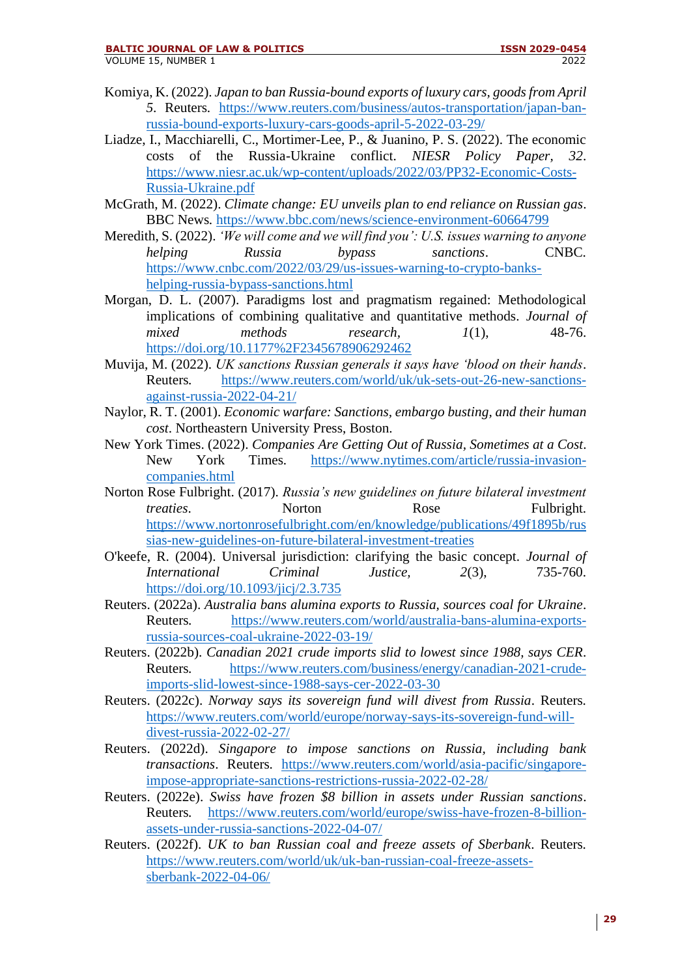#### **BALTIC JOURNAL OF LAW & POLITICS ISSN 2029-0454**

- Komiya, K. (2022). *Japan to ban Russia-bound exports of luxury cars, goods from April 5*. Reuters*.* [https://www.reuters.com/business/autos-transportation/japan-ban](https://www.reuters.com/business/autos-transportation/japan-ban-russia-bound-exports-luxury-cars-goods-april-5-2022-03-29/)[russia-bound-exports-luxury-cars-goods-april-5-2022-03-29/](https://www.reuters.com/business/autos-transportation/japan-ban-russia-bound-exports-luxury-cars-goods-april-5-2022-03-29/)
- Liadze, I., Macchiarelli, C., Mortimer-Lee, P., & Juanino, P. S. (2022). The economic costs of the Russia-Ukraine conflict. *NIESR Policy Paper, 32*. [https://www.niesr.ac.uk/wp-content/uploads/2022/03/PP32-Economic-Costs-](https://www.niesr.ac.uk/wp-content/uploads/2022/03/PP32-Economic-Costs-Russia-Ukraine.pdf)[Russia-Ukraine.pdf](https://www.niesr.ac.uk/wp-content/uploads/2022/03/PP32-Economic-Costs-Russia-Ukraine.pdf)
- McGrath, M. (2022). *Climate change: EU unveils plan to end reliance on Russian gas*. BBC News*.* <https://www.bbc.com/news/science-environment-60664799>
- Meredith, S. (2022). *'We will come and we will find you': U.S. issues warning to anyone helping Russia bypass sanctions*. CNBC*.* [https://www.cnbc.com/2022/03/29/us-issues-warning-to-crypto-banks](https://www.cnbc.com/2022/03/29/us-issues-warning-to-crypto-banks-helping-russia-bypass-sanctions.html)[helping-russia-bypass-sanctions.html](https://www.cnbc.com/2022/03/29/us-issues-warning-to-crypto-banks-helping-russia-bypass-sanctions.html)
- Morgan, D. L. (2007). Paradigms lost and pragmatism regained: Methodological implications of combining qualitative and quantitative methods. *Journal of mixed methods research, 1*(1), 48-76. <https://doi.org/10.1177%2F2345678906292462>
- Muvija, M. (2022). *UK sanctions Russian generals it says have 'blood on their hands*. Reuters*.* [https://www.reuters.com/world/uk/uk-sets-out-26-new-sanctions](https://www.reuters.com/world/uk/uk-sets-out-26-new-sanctions-against-russia-2022-04-21/)[against-russia-2022-04-21/](https://www.reuters.com/world/uk/uk-sets-out-26-new-sanctions-against-russia-2022-04-21/)
- Naylor, R. T. (2001). *Economic warfare: Sanctions, embargo busting, and their human cost*. Northeastern University Press, Boston.
- New York Times. (2022). *Companies Are Getting Out of Russia, Sometimes at a Cost*. New York Times*.* [https://www.nytimes.com/article/russia-invasion](https://www.nytimes.com/article/russia-invasion-companies.html)[companies.html](https://www.nytimes.com/article/russia-invasion-companies.html)
- Norton Rose Fulbright. (2017). *Russia's new guidelines on future bilateral investment treaties.* Norton Rose Fulbright. [https://www.nortonrosefulbright.com/en/knowledge/publications/49f1895b/rus](https://www.nortonrosefulbright.com/en/knowledge/publications/49f1895b/russias-new-guidelines-on-future-bilateral-investment-treaties) [sias-new-guidelines-on-future-bilateral-investment-treaties](https://www.nortonrosefulbright.com/en/knowledge/publications/49f1895b/russias-new-guidelines-on-future-bilateral-investment-treaties)
- O'keefe, R. (2004). Universal jurisdiction: clarifying the basic concept. *Journal of International Criminal Justice, 2*(3), 735-760. <https://doi.org/10.1093/jicj/2.3.735>
- Reuters. (2022a). *Australia bans alumina exports to Russia, sources coal for Ukraine*. Reuters*.* [https://www.reuters.com/world/australia-bans-alumina-exports](https://www.reuters.com/world/australia-bans-alumina-exports-russia-sources-coal-ukraine-2022-03-19/)[russia-sources-coal-ukraine-2022-03-19/](https://www.reuters.com/world/australia-bans-alumina-exports-russia-sources-coal-ukraine-2022-03-19/)
- Reuters. (2022b). *Canadian 2021 crude imports slid to lowest since 1988, says CER*. Reuters*.* [https://www.reuters.com/business/energy/canadian-2021-crude](https://www.reuters.com/business/energy/canadian-2021-crude-imports-slid-lowest-since-1988-says-cer-2022-03-30)[imports-slid-lowest-since-1988-says-cer-2022-03-30](https://www.reuters.com/business/energy/canadian-2021-crude-imports-slid-lowest-since-1988-says-cer-2022-03-30)
- Reuters. (2022c). *Norway says its sovereign fund will divest from Russia*. Reuters*.* [https://www.reuters.com/world/europe/norway-says-its-sovereign-fund-will](https://www.reuters.com/world/europe/norway-says-its-sovereign-fund-will-divest-russia-2022-02-27/)[divest-russia-2022-02-27/](https://www.reuters.com/world/europe/norway-says-its-sovereign-fund-will-divest-russia-2022-02-27/)
- Reuters. (2022d). *Singapore to impose sanctions on Russia, including bank transactions*. Reuters*.* [https://www.reuters.com/world/asia-pacific/singapore](https://www.reuters.com/world/asia-pacific/singapore-impose-appropriate-sanctions-restrictions-russia-2022-02-28/)[impose-appropriate-sanctions-restrictions-russia-2022-02-28/](https://www.reuters.com/world/asia-pacific/singapore-impose-appropriate-sanctions-restrictions-russia-2022-02-28/)
- Reuters. (2022e). *Swiss have frozen \$8 billion in assets under Russian sanctions*. Reuters*.* [https://www.reuters.com/world/europe/swiss-have-frozen-8-billion](https://www.reuters.com/world/europe/swiss-have-frozen-8-billion-assets-under-russia-sanctions-2022-04-07/)[assets-under-russia-sanctions-2022-04-07/](https://www.reuters.com/world/europe/swiss-have-frozen-8-billion-assets-under-russia-sanctions-2022-04-07/)
- Reuters. (2022f). *UK to ban Russian coal and freeze assets of Sberbank*. Reuters*.* [https://www.reuters.com/world/uk/uk-ban-russian-coal-freeze-assets](https://www.reuters.com/world/uk/uk-ban-russian-coal-freeze-assets-sberbank-2022-04-06/)[sberbank-2022-04-06/](https://www.reuters.com/world/uk/uk-ban-russian-coal-freeze-assets-sberbank-2022-04-06/)